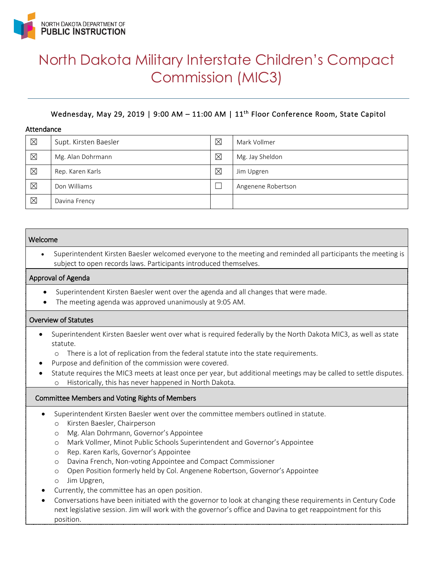

# North Dakota Military Interstate Children's Compact Commission (MIC3)

# Wednesday, May 29, 2019 | 9:00 AM - 11:00 AM | 11<sup>th</sup> Floor Conference Room, State Capitol

#### Attendance

| $\boxtimes$ | Supt. Kirsten Baesler | $\boxtimes$ | Mark Vollmer       |
|-------------|-----------------------|-------------|--------------------|
| $\boxtimes$ | Mg. Alan Dohrmann     | $\boxtimes$ | Mg. Jay Sheldon    |
| $\boxtimes$ | Rep. Karen Karls      | $\boxtimes$ | Jim Upgren         |
| $\boxtimes$ | Don Williams          |             | Angenene Robertson |
| $\boxtimes$ | Davina Frency         |             |                    |

#### Welcome

• Superintendent Kirsten Baesler welcomed everyone to the meeting and reminded all participants the meeting is subject to open records laws. Participants introduced themselves.

#### Approval of Agenda

- Superintendent Kirsten Baesler went over the agenda and all changes that were made.
- The meeting agenda was approved unanimously at 9:05 AM.

#### Overview of Statutes

- Superintendent Kirsten Baesler went over what is required federally by the North Dakota MIC3, as well as state statute.
	- o There is a lot of replication from the federal statute into the state requirements.
- Purpose and definition of the commission were covered.
	- Statute requires the MIC3 meets at least once per year, but additional meetings may be called to settle disputes. Historically, this has never happened in North Dakota.

#### Committee Members and Voting Rights of Members

- Superintendent Kirsten Baesler went over the committee members outlined in statute.
	- o Kirsten Baesler, Chairperson
	- o Mg. Alan Dohrmann, Governor's Appointee
	- o Mark Vollmer, Minot Public Schools Superintendent and Governor's Appointee
	- o Rep. Karen Karls, Governor's Appointee
	- o Davina French, Non-voting Appointee and Compact Commissioner
	- o Open Position formerly held by Col. Angenene Robertson, Governor's Appointee
	- o Jim Upgren,
- Currently, the committee has an open position.
- Conversations have been initiated with the governor to look at changing these requirements in Century Code next legislative session. Jim will work with the governor's office and Davina to get reappointment for this position.